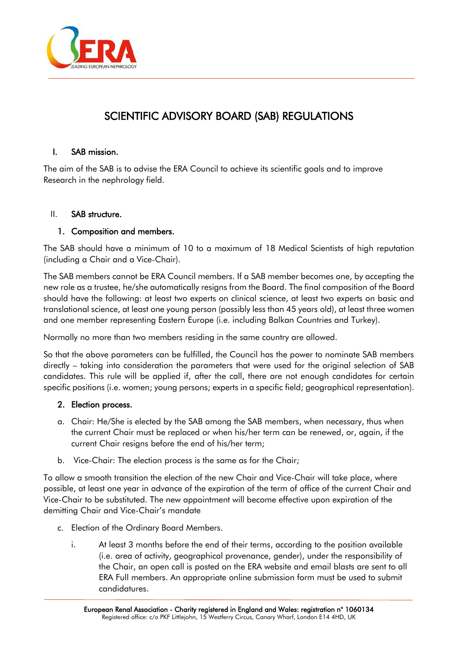

# SCIENTIFIC ADVISORY BOARD (SAB) REGULATIONS

## I. SAB mission.

The aim of the SAB is to advise the ERA Council to achieve its scientific goals and to improve Research in the nephrology field.

## II. SAB structure.

## 1. Composition and members.

The SAB should have a minimum of 10 to a maximum of 18 Medical Scientists of high reputation (including a Chair and a Vice-Chair).

The SAB members cannot be ERA Council members. If a SAB member becomes one, by accepting the new role as a trustee, he/she automatically resigns from the Board. The final composition of the Board should have the following: at least two experts on clinical science, at least two experts on basic and translational science, at least one young person (possibly less than 45 years old), at least three women and one member representing Eastern Europe (i.e. including Balkan Countries and Turkey).

Normally no more than two members residing in the same country are allowed.

So that the above parameters can be fulfilled, the Council has the power to nominate SAB members directly – taking into consideration the parameters that were used for the original selection of SAB candidates. This rule will be applied if, after the call, there are not enough candidates for certain specific positions (i.e. women; young persons; experts in a specific field; geographical representation).

## 2. Election process.

- a. Chair: He/She is elected by the SAB among the SAB members, when necessary, thus when the current Chair must be replaced or when his/her term can be renewed, or, again, if the current Chair resigns before the end of his/her term;
- b. Vice-Chair: The election process is the same as for the Chair;

To allow a smooth transition the election of the new Chair and Vice-Chair will take place, where possible, at least one year in advance of the expiration of the term of office of the current Chair and Vice-Chair to be substituted. The new appointment will become effective upon expiration of the demitting Chair and Vice-Chair's mandate

- c. Election of the Ordinary Board Members.
	- i. At least 3 months before the end of their terms, according to the position available (i.e. area of activity, geographical provenance, gender), under the responsibility of the Chair, an open call is posted on the ERA website and email blasts are sent to all ERA Full members. An appropriate online submission form must be used to submit candidatures.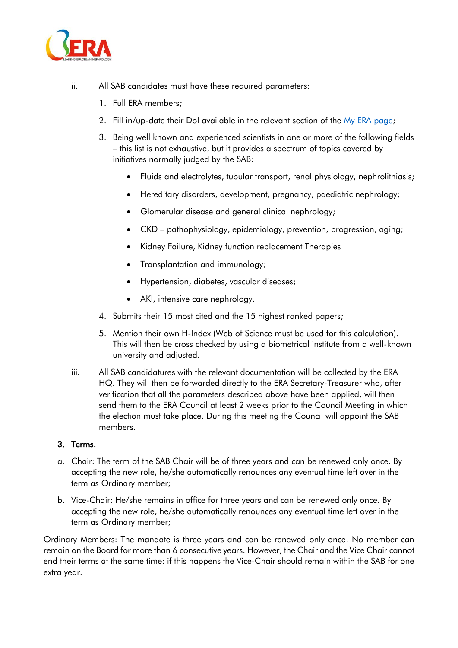

- ii. All SAB candidates must have these required parameters:
	- 1. Full ERA members;
	- 2. Fill in/up-date their DoI available in the relevant section of the [My ERA page;](https://www.era-online.org/en/my-era/#home)
	- 3. Being well known and experienced scientists in one or more of the following fields – this list is not exhaustive, but it provides a spectrum of topics covered by initiatives normally judged by the SAB:
		- Fluids and electrolytes, tubular transport, renal physiology, nephrolithiasis;
		- Hereditary disorders, development, pregnancy, paediatric nephrology;
		- Glomerular disease and general clinical nephrology;
		- CKD pathophysiology, epidemiology, prevention, progression, aging;
		- Kidney Failure, Kidney function replacement Therapies
		- Transplantation and immunology;
		- Hypertension, diabetes, vascular diseases;
		- AKI, intensive care nephrology.
	- 4. Submits their 15 most cited and the 15 highest ranked papers;
	- 5. Mention their own H-Index (Web of Science must be used for this calculation). This will then be cross checked by using a biometrical institute from a well-known university and adjusted.
- iii. All SAB candidatures with the relevant documentation will be collected by the ERA HQ. They will then be forwarded directly to the ERA Secretary-Treasurer who, after verification that all the parameters described above have been applied, will then send them to the ERA Council at least 2 weeks prior to the Council Meeting in which the election must take place. During this meeting the Council will appoint the SAB members.

#### 3. Terms.

- a. Chair: The term of the SAB Chair will be of three years and can be renewed only once. By accepting the new role, he/she automatically renounces any eventual time left over in the term as Ordinary member;
- b. Vice-Chair: He/she remains in office for three years and can be renewed only once. By accepting the new role, he/she automatically renounces any eventual time left over in the term as Ordinary member;

Ordinary Members: The mandate is three years and can be renewed only once. No member can remain on the Board for more than 6 consecutive years. However, the Chair and the Vice Chair cannot end their terms at the same time: if this happens the Vice-Chair should remain within the SAB for one extra year.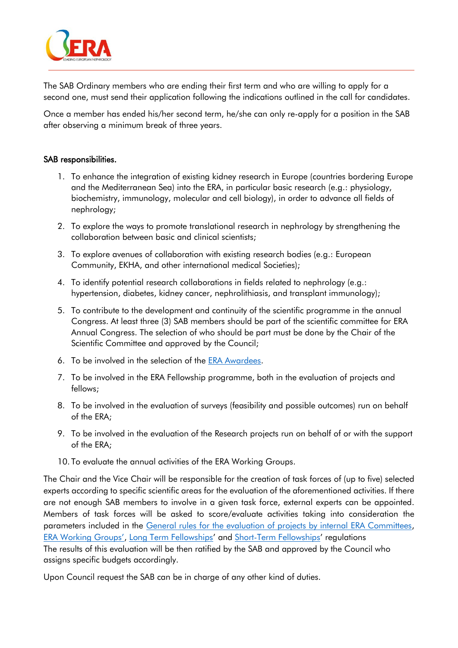

The SAB Ordinary members who are ending their first term and who are willing to apply for a second one, must send their application following the indications outlined in the call for candidates.

Once a member has ended his/her second term, he/she can only re-apply for a position in the SAB after observing a minimum break of three years.

#### SAB responsibilities.

- 1. To enhance the integration of existing kidney research in Europe (countries bordering Europe and the Mediterranean Sea) into the ERA, in particular basic research (e.g.: physiology, biochemistry, immunology, molecular and cell biology), in order to advance all fields of nephrology;
- 2. To explore the ways to promote translational research in nephrology by strengthening the collaboration between basic and clinical scientists;
- 3. To explore avenues of collaboration with existing research bodies (e.g.: European Community, EKHA, and other international medical Societies);
- 4. To identify potential research collaborations in fields related to nephrology (e.g.: hypertension, diabetes, kidney cancer, nephrolithiasis, and transplant immunology);
- 5. To contribute to the development and continuity of the scientific programme in the annual Congress. At least three (3) SAB members should be part of the scientific committee for ERA Annual Congress. The selection of who should be part must be done by the Chair of the Scientific Committee and approved by the Council;
- 6. To be involved in the selection of the [ERA Awardees.](https://www.era-online.org/en/wp-content/uploads/2021/11/Award_Regulations.pdf)
- 7. To be involved in the ERA Fellowship programme, both in the evaluation of projects and fellows;
- 8. To be involved in the evaluation of surveys (feasibility and possible outcomes) run on behalf of the ERA;
- 9. To be involved in the evaluation of the Research projects run on behalf of or with the support of the ERA;
- 10. To evaluate the annual activities of the ERA Working Groups.

The Chair and the Vice Chair will be responsible for the creation of task forces of (up to five) selected experts according to specific scientific areas for the evaluation of the aforementioned activities. If there are not enough SAB members to involve in a given task force, external experts can be appointed. Members of task forces will be asked to score/evaluate activities taking into consideration the parameters included in the General rules for the [evaluation of projects by internal ERA Committees,](https://www.era-online.org/en/wp-content/uploads/2021/11/General-rules-for-the-evaluation-of-projects-by-internal-ERA-Commitee.pdf) [ERA Working Groups'](https://www.era-online.org/en/wp-content/uploads/2021/11/ERA-SCIENTIFIC-WORKING-GROUPS_Regulations_new.pdf), [Long Term Fellowships](https://www.era-online.org/en/wp-content/uploads/2021/12/SAB_Long-Term-Fellowships_Regulations.pdf)' and Short-Term [Fellowships](https://www.era-online.org/en/wp-content/uploads/2021/12/Short-term-fellowship_Regulation.pdf)' regulations

The results of this evaluation will be then ratified by the SAB and approved by the Council who assigns specific budgets accordingly.

Upon Council request the SAB can be in charge of any other kind of duties.